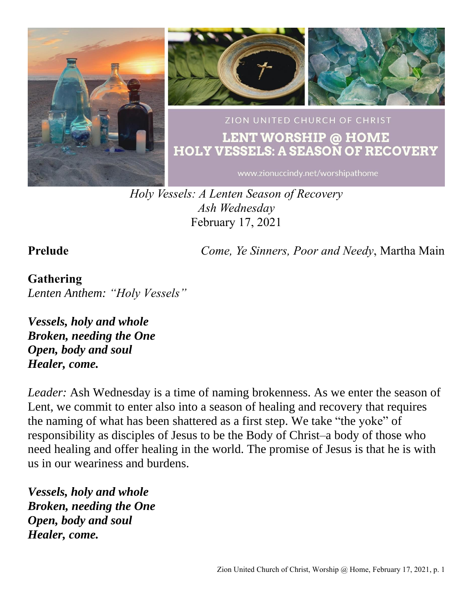

*Holy Vessels: A Lenten Season of Recovery Ash Wednesday* February 17, 2021

**Prelude** *Come, Ye Sinners, Poor and Needy*, Martha Main

### **Gathering** *Lenten Anthem: "Holy Vessels"*

*Vessels, holy and whole Broken, needing the One Open, body and soul Healer, come.*

*Leader:* Ash Wednesday is a time of naming brokenness. As we enter the season of Lent, we commit to enter also into a season of healing and recovery that requires the naming of what has been shattered as a first step. We take "the yoke" of responsibility as disciples of Jesus to be the Body of Christ–a body of those who need healing and offer healing in the world. The promise of Jesus is that he is with us in our weariness and burdens.

*Vessels, holy and whole Broken, needing the One Open, body and soul Healer, come.*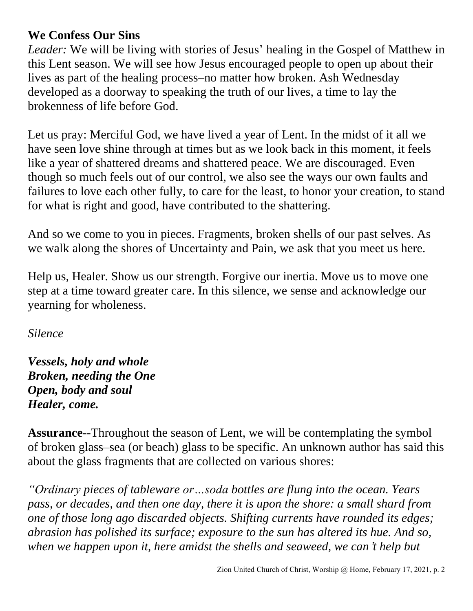### **We Confess Our Sins**

*Leader:* We will be living with stories of Jesus' healing in the Gospel of Matthew in this Lent season. We will see how Jesus encouraged people to open up about their lives as part of the healing process–no matter how broken. Ash Wednesday developed as a doorway to speaking the truth of our lives, a time to lay the brokenness of life before God.

Let us pray: Merciful God, we have lived a year of Lent. In the midst of it all we have seen love shine through at times but as we look back in this moment, it feels like a year of shattered dreams and shattered peace. We are discouraged. Even though so much feels out of our control, we also see the ways our own faults and failures to love each other fully, to care for the least, to honor your creation, to stand for what is right and good, have contributed to the shattering.

And so we come to you in pieces. Fragments, broken shells of our past selves. As we walk along the shores of Uncertainty and Pain, we ask that you meet us here.

Help us, Healer. Show us our strength. Forgive our inertia. Move us to move one step at a time toward greater care. In this silence, we sense and acknowledge our yearning for wholeness.

*Silence*

*Vessels, holy and whole Broken, needing the One Open, body and soul Healer, come.*

**Assurance--**Throughout the season of Lent, we will be contemplating the symbol of broken glass–sea (or beach) glass to be specific. An unknown author has said this about the glass fragments that are collected on various shores:

*"Ordinary pieces of tableware or…soda bottles are flung into the ocean. Years pass, or decades, and then one day, there it is upon the shore: a small shard from one of those long ago discarded objects. Shifting currents have rounded its edges; abrasion has polished its surface; exposure to the sun has altered its hue. And so, when we happen upon it, here amidst the shells and seaweed, we can*'*t help but*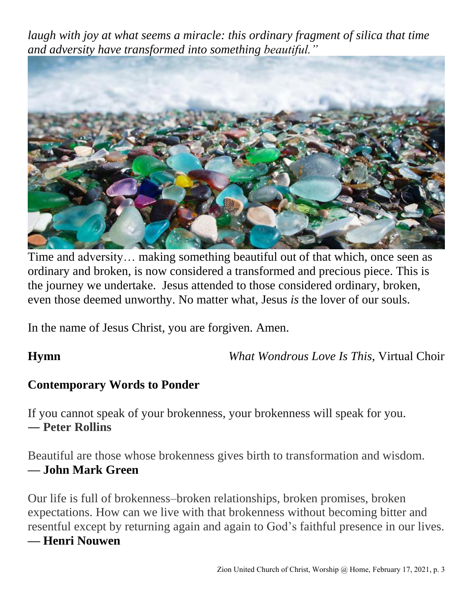*laugh with joy at what seems a miracle: this ordinary fragment of silica that time and adversity have transformed into something beautiful."*



Time and adversity… making something beautiful out of that which, once seen as ordinary and broken, is now considered a transformed and precious piece. This is the journey we undertake. Jesus attended to those considered ordinary, broken, even those deemed unworthy. No matter what, Jesus *is* the lover of our souls.

In the name of Jesus Christ, you are forgiven. Amen.

**Hymn** *What Wondrous Love Is This*, Virtual Choir

## **Contemporary Words to Ponder**

If you cannot speak of your brokenness, your brokenness will speak for you. ― **Peter Rollins**

Beautiful are those whose brokenness gives birth to transformation and wisdom. **–– John Mark Green**

Our life is full of brokenness–broken relationships, broken promises, broken expectations. How can we live with that brokenness without becoming bitter and resentful except by returning again and again to God's faithful presence in our lives.

### **–– Henri Nouwen**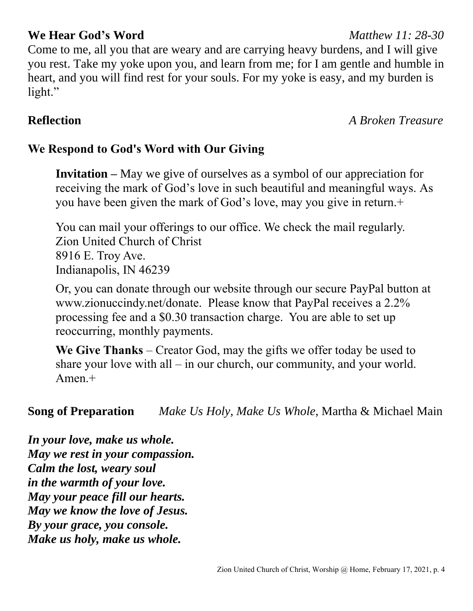### **We Hear God's Word** *Matthew 11: 28-30*

Come to me, all you that are weary and are carrying heavy burdens, and I will give you rest. Take my yoke upon you, and learn from me; for I am gentle and humble in heart, and you will find rest for your souls. For my yoke is easy, and my burden is light."

**Reflection** *A Broken Treasure*

## **We Respond to God's Word with Our Giving**

**Invitation –** May we give of ourselves as a symbol of our appreciation for receiving the mark of God's love in such beautiful and meaningful ways. As you have been given the mark of God's love, may you give in return.+

You can mail your offerings to our office. We check the mail regularly. Zion United Church of Christ 8916 E. Troy Ave. Indianapolis, IN 46239

Or, you can donate through our website through our secure PayPal button at www.zionuccindy.net/donate. Please know that PayPal receives a 2.2% processing fee and a \$0.30 transaction charge. You are able to set up reoccurring, monthly payments.

**We Give Thanks** – Creator God, may the gifts we offer today be used to share your love with all – in our church, our community, and your world. Amen.+

**Song of Preparation** *Make Us Holy, Make Us Whole*, Martha & Michael Main

*In your love, make us whole. May we rest in your compassion. Calm the lost, weary soul in the warmth of your love. May your peace fill our hearts. May we know the love of Jesus. By your grace, you console. Make us holy, make us whole.*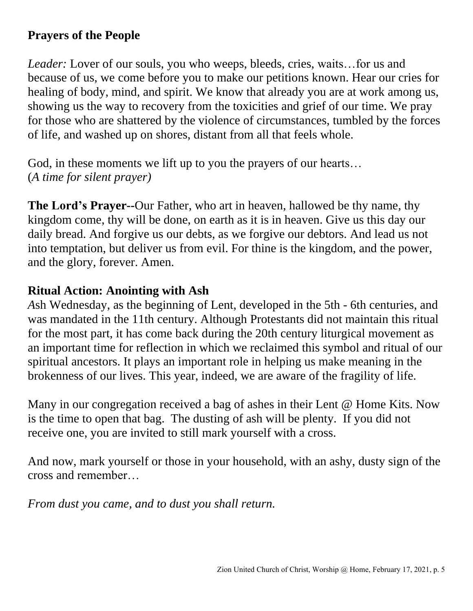## **Prayers of the People**

*Leader:* Lover of our souls, you who weeps, bleeds, cries, waits... for us and because of us, we come before you to make our petitions known. Hear our cries for healing of body, mind, and spirit. We know that already you are at work among us, showing us the way to recovery from the toxicities and grief of our time. We pray for those who are shattered by the violence of circumstances, tumbled by the forces of life, and washed up on shores, distant from all that feels whole.

God, in these moments we lift up to you the prayers of our hearts… (*A time for silent prayer)*

**The Lord's Prayer--**Our Father, who art in heaven, hallowed be thy name, thy kingdom come, thy will be done, on earth as it is in heaven. Give us this day our daily bread. And forgive us our debts, as we forgive our debtors. And lead us not into temptation, but deliver us from evil. For thine is the kingdom, and the power, and the glory, forever. Amen.

### **Ritual Action: Anointing with Ash**

*A*sh Wednesday, as the beginning of Lent, developed in the 5th - 6th centuries, and was mandated in the 11th century. Although Protestants did not maintain this ritual for the most part, it has come back during the 20th century liturgical movement as an important time for reflection in which we reclaimed this symbol and ritual of our spiritual ancestors. It plays an important role in helping us make meaning in the brokenness of our lives. This year, indeed, we are aware of the fragility of life.

Many in our congregation received a bag of ashes in their Lent @ Home Kits. Now is the time to open that bag. The dusting of ash will be plenty. If you did not receive one, you are invited to still mark yourself with a cross.

And now, mark yourself or those in your household, with an ashy, dusty sign of the cross and remember…

*From dust you came, and to dust you shall return.*